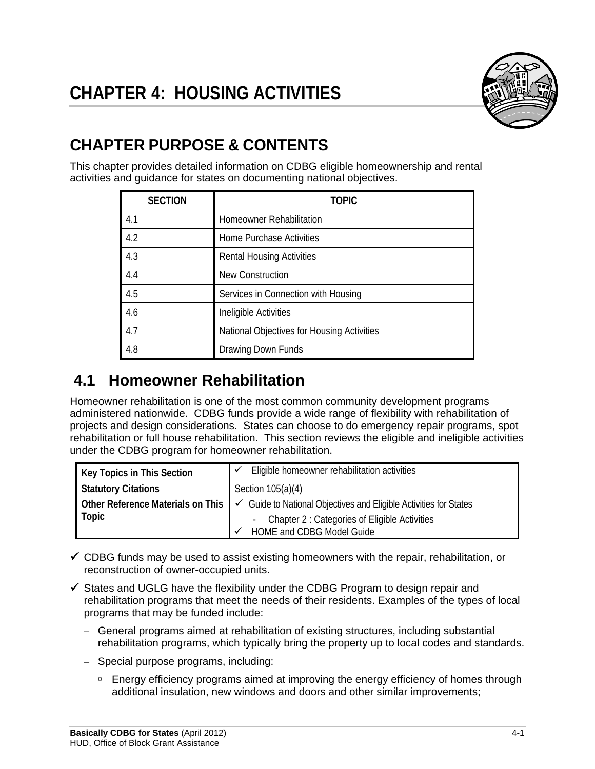

# **CHAPTER PURPOSE & CONTENTS**

This chapter provides detailed information on CDBG eligible homeownership and rental activities and guidance for states on documenting national objectives.

| <b>SECTION</b> | TOPIC                                      |  |  |  |
|----------------|--------------------------------------------|--|--|--|
| 4.1            | Homeowner Rehabilitation                   |  |  |  |
| 4.2            | <b>Home Purchase Activities</b>            |  |  |  |
| 4.3            | <b>Rental Housing Activities</b>           |  |  |  |
| 4.4            | <b>New Construction</b>                    |  |  |  |
| 4.5            | Services in Connection with Housing        |  |  |  |
| 4.6            | Ineligible Activities                      |  |  |  |
| 4.7            | National Objectives for Housing Activities |  |  |  |
| 4.8            | Drawing Down Funds                         |  |  |  |

# **4.1 Homeowner Rehabilitation**

Homeowner rehabilitation is one of the most common community development programs administered nationwide. CDBG funds provide a wide range of flexibility with rehabilitation of projects and design considerations. States can choose to do emergency repair programs, spot rehabilitation or full house rehabilitation. This section reviews the eligible and ineligible activities under the CDBG program for homeowner rehabilitation.

| <b>Key Topics in This Section</b> | Eligible homeowner rehabilitation activities                                 |  |  |  |
|-----------------------------------|------------------------------------------------------------------------------|--|--|--|
| <b>Statutory Citations</b>        | Section $105(a)(4)$                                                          |  |  |  |
| Other Reference Materials on This | $\checkmark$ Guide to National Objectives and Eligible Activities for States |  |  |  |
| Topic                             | - Chapter 2 : Categories of Eligible Activities                              |  |  |  |
|                                   | <b>HOME and CDBG Model Guide</b>                                             |  |  |  |

- $\checkmark$  CDBG funds may be used to assist existing homeowners with the repair, rehabilitation, or reconstruction of owner-occupied units.
- $\checkmark$  States and UGLG have the flexibility under the CDBG Program to design repair and rehabilitation programs that meet the needs of their residents. Examples of the types of local programs that may be funded include:
	- General programs aimed at rehabilitation of existing structures, including substantial rehabilitation programs, which typically bring the property up to local codes and standards.
	- Special purpose programs, including:
		- **Energy efficiency programs aimed at improving the energy efficiency of homes through** additional insulation, new windows and doors and other similar improvements;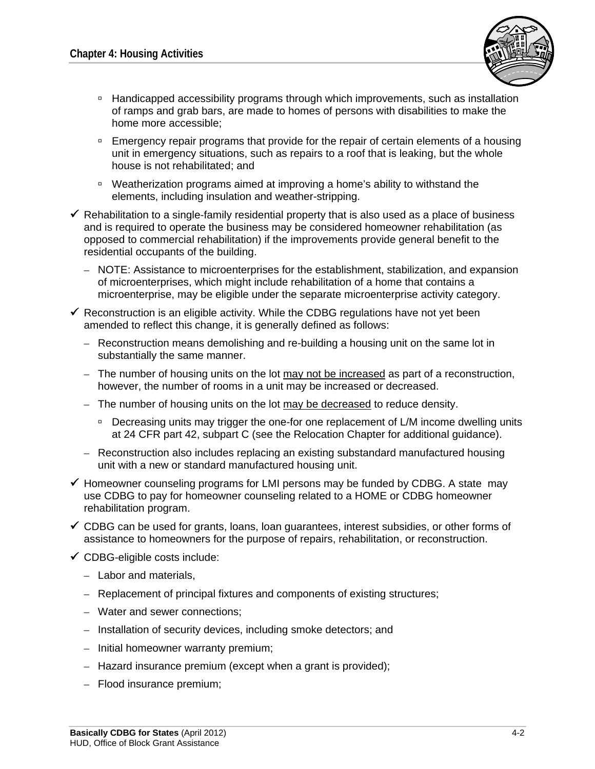

- □ Handicapped accessibility programs through which improvements, such as installation of ramps and grab bars, are made to homes of persons with disabilities to make the home more accessible;
- **Emergency repair programs that provide for the repair of certain elements of a housing** unit in emergency situations, such as repairs to a roof that is leaking, but the whole house is not rehabilitated; and
- Weatherization programs aimed at improving a home's ability to withstand the elements, including insulation and weather-stripping.
- $\checkmark$  Rehabilitation to a single-family residential property that is also used as a place of business and is required to operate the business may be considered homeowner rehabilitation (as opposed to commercial rehabilitation) if the improvements provide general benefit to the residential occupants of the building.
	- NOTE: Assistance to microenterprises for the establishment, stabilization, and expansion of microenterprises, which might include rehabilitation of a home that contains a microenterprise, may be eligible under the separate microenterprise activity category.
- $\checkmark$  Reconstruction is an eligible activity. While the CDBG regulations have not yet been amended to reflect this change, it is generally defined as follows:
	- Reconstruction means demolishing and re-building a housing unit on the same lot in substantially the same manner.
	- The number of housing units on the lot may not be increased as part of a reconstruction, however, the number of rooms in a unit may be increased or decreased.
	- The number of housing units on the lot may be decreased to reduce density.
		- □ Decreasing units may trigger the one-for one replacement of L/M income dwelling units at 24 CFR part 42, subpart C (see the Relocation Chapter for additional guidance).
	- Reconstruction also includes replacing an existing substandard manufactured housing unit with a new or standard manufactured housing unit.
- $\checkmark$  Homeowner counseling programs for LMI persons may be funded by CDBG. A state may use CDBG to pay for homeowner counseling related to a HOME or CDBG homeowner rehabilitation program.
- $\checkmark$  CDBG can be used for grants, loans, loan guarantees, interest subsidies, or other forms of assistance to homeowners for the purpose of repairs, rehabilitation, or reconstruction.
- $\checkmark$  CDBG-eligible costs include:
	- Labor and materials,
	- Replacement of principal fixtures and components of existing structures;
	- Water and sewer connections;
	- Installation of security devices, including smoke detectors; and
	- Initial homeowner warranty premium;
	- Hazard insurance premium (except when a grant is provided);
	- Flood insurance premium;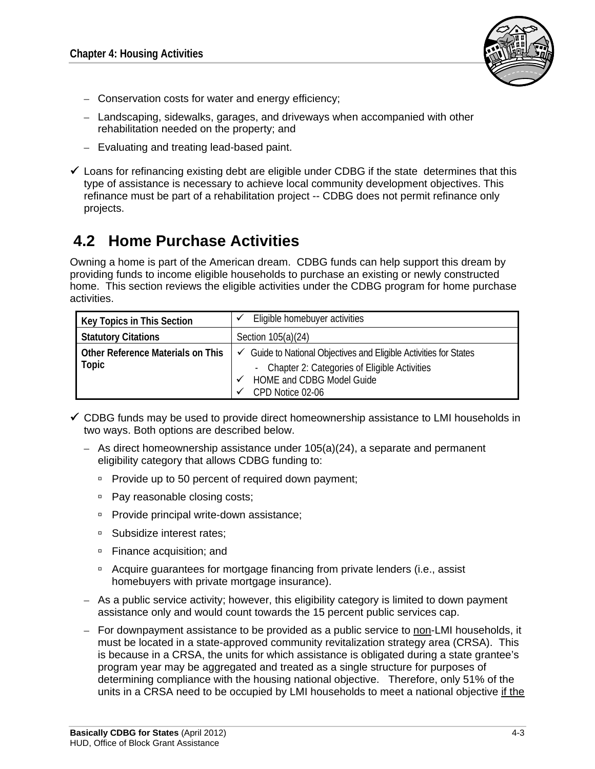

- Conservation costs for water and energy efficiency;
- Landscaping, sidewalks, garages, and driveways when accompanied with other rehabilitation needed on the property; and
- Evaluating and treating lead-based paint.
- $\checkmark$  Loans for refinancing existing debt are eligible under CDBG if the state determines that this type of assistance is necessary to achieve local community development objectives. This refinance must be part of a rehabilitation project -- CDBG does not permit refinance only projects.

### **4.2 Home Purchase Activities**

Owning a home is part of the American dream. CDBG funds can help support this dream by providing funds to income eligible households to purchase an existing or newly constructed home. This section reviews the eligible activities under the CDBG program for home purchase activities.

| <b>Key Topics in This Section</b>          | Eligible homebuyer activities                                                  |  |  |  |
|--------------------------------------------|--------------------------------------------------------------------------------|--|--|--|
| <b>Statutory Citations</b>                 | Section 105(a)(24)                                                             |  |  |  |
| Other Reference Materials on This<br>Topic | $\checkmark$ Guide to National Objectives and Eligible Activities for States   |  |  |  |
|                                            | Chapter 2: Categories of Eligible Activities<br>-<br>HOME and CDBG Model Guide |  |  |  |
|                                            | CPD Notice 02-06                                                               |  |  |  |

- $\checkmark$  CDBG funds may be used to provide direct homeownership assistance to LMI households in two ways. Both options are described below.
	- As direct homeownership assistance under 105(a)(24), a separate and permanent eligibility category that allows CDBG funding to:
		- $P$  Provide up to 50 percent of required down payment;
		- □ Pay reasonable closing costs;
		- □ Provide principal write-down assistance;
		- □ Subsidize interest rates:
		- □ Finance acquisition; and
		- Acquire guarantees for mortgage financing from private lenders (i.e., assist homebuyers with private mortgage insurance).
	- As a public service activity; however, this eligibility category is limited to down payment assistance only and would count towards the 15 percent public services cap.
	- For downpayment assistance to be provided as a public service to non-LMI households, it must be located in a state-approved community revitalization strategy area (CRSA). This is because in a CRSA, the units for which assistance is obligated during a state grantee's program year may be aggregated and treated as a single structure for purposes of determining compliance with the housing national objective. Therefore, only 51% of the units in a CRSA need to be occupied by LMI households to meet a national objective if the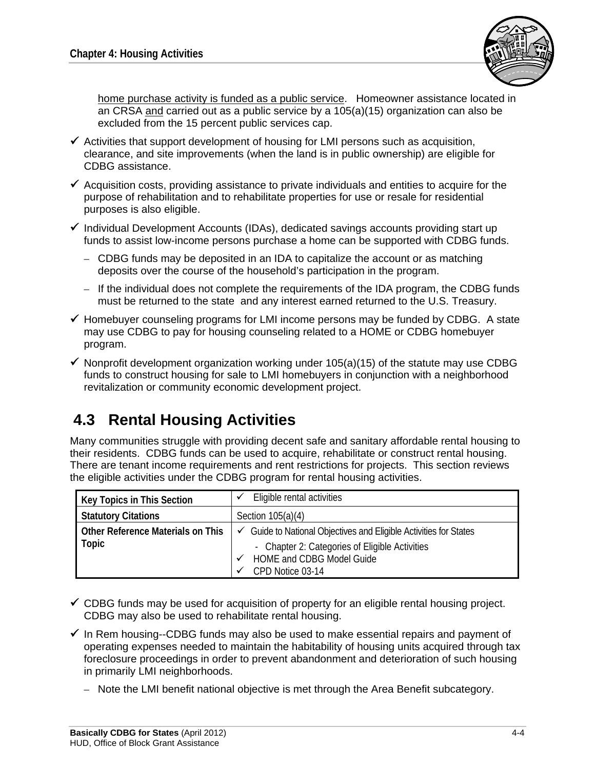

home purchase activity is funded as a public service. Homeowner assistance located in an CRSA and carried out as a public service by a 105(a)(15) organization can also be excluded from the 15 percent public services cap.

- $\checkmark$  Activities that support development of housing for LMI persons such as acquisition, clearance, and site improvements (when the land is in public ownership) are eligible for CDBG assistance.
- $\checkmark$  Acquisition costs, providing assistance to private individuals and entities to acquire for the purpose of rehabilitation and to rehabilitate properties for use or resale for residential purposes is also eligible.
- $\checkmark$  Individual Development Accounts (IDAs), dedicated savings accounts providing start up funds to assist low-income persons purchase a home can be supported with CDBG funds.
	- CDBG funds may be deposited in an IDA to capitalize the account or as matching deposits over the course of the household's participation in the program.
	- If the individual does not complete the requirements of the IDA program, the CDBG funds must be returned to the state and any interest earned returned to the U.S. Treasury.
- $\checkmark$  Homebuyer counseling programs for LMI income persons may be funded by CDBG. A state may use CDBG to pay for housing counseling related to a HOME or CDBG homebuyer program.
- $\checkmark$  Nonprofit development organization working under 105(a)(15) of the statute may use CDBG funds to construct housing for sale to LMI homebuyers in conjunction with a neighborhood revitalization or community economic development project.

# **4.3 Rental Housing Activities**

Many communities struggle with providing decent safe and sanitary affordable rental housing to their residents. CDBG funds can be used to acquire, rehabilitate or construct rental housing. There are tenant income requirements and rent restrictions for projects. This section reviews the eligible activities under the CDBG program for rental housing activities.

| <b>Key Topics in This Section</b> | Eligible rental activities                                                   |  |  |  |
|-----------------------------------|------------------------------------------------------------------------------|--|--|--|
| <b>Statutory Citations</b>        | Section $105(a)(4)$                                                          |  |  |  |
| Other Reference Materials on This | $\checkmark$ Guide to National Objectives and Eligible Activities for States |  |  |  |
| Topic                             | - Chapter 2: Categories of Eligible Activities                               |  |  |  |
|                                   | <b>HOME and CDBG Model Guide</b><br>v                                        |  |  |  |
|                                   | CPD Notice 03-14                                                             |  |  |  |

- $\checkmark$  CDBG funds may be used for acquisition of property for an eligible rental housing project. CDBG may also be used to rehabilitate rental housing.
- $\checkmark$  In Rem housing--CDBG funds may also be used to make essential repairs and payment of operating expenses needed to maintain the habitability of housing units acquired through tax foreclosure proceedings in order to prevent abandonment and deterioration of such housing in primarily LMI neighborhoods.
	- Note the LMI benefit national objective is met through the Area Benefit subcategory.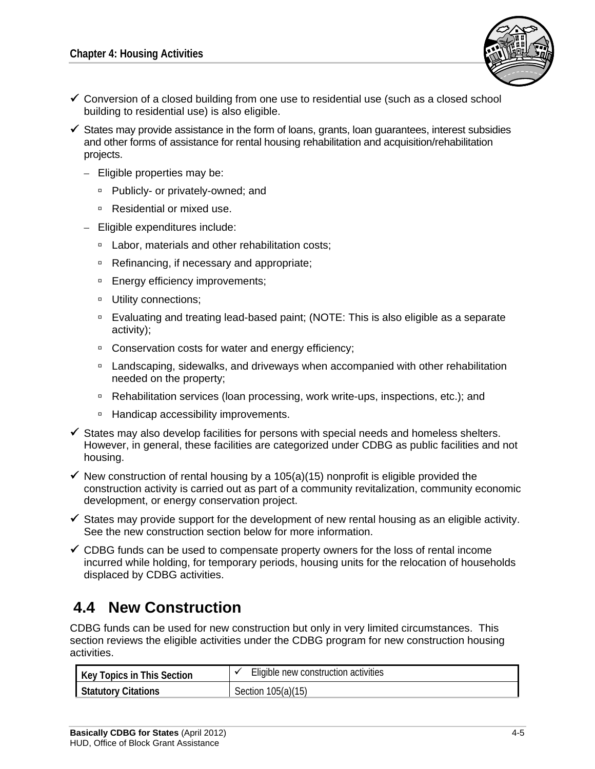

- $\checkmark$  Conversion of a closed building from one use to residential use (such as a closed school building to residential use) is also eligible.
- $\checkmark$  States may provide assistance in the form of loans, grants, loan guarantees, interest subsidies and other forms of assistance for rental housing rehabilitation and acquisition/rehabilitation projects.
	- Eligible properties may be:
		- □ Publicly- or privately-owned; and
		- Residential or mixed use.
	- Eligible expenditures include:
		- □ Labor, materials and other rehabilitation costs;
		- □ Refinancing, if necessary and appropriate;
		- □ Energy efficiency improvements;
		- **Utility connections;**
		- Evaluating and treating lead-based paint; (NOTE: This is also eligible as a separate activity);
		- □ Conservation costs for water and energy efficiency;
		- □ Landscaping, sidewalks, and driveways when accompanied with other rehabilitation needed on the property;
		- □ Rehabilitation services (loan processing, work write-ups, inspections, etc.); and
		- □ Handicap accessibility improvements.
- $\checkmark$  States may also develop facilities for persons with special needs and homeless shelters. However, in general, these facilities are categorized under CDBG as public facilities and not housing.
- $\checkmark$  New construction of rental housing by a 105(a)(15) nonprofit is eligible provided the construction activity is carried out as part of a community revitalization, community economic development, or energy conservation project.
- $\checkmark$  States may provide support for the development of new rental housing as an eligible activity. See the new construction section below for more information.
- $\checkmark$  CDBG funds can be used to compensate property owners for the loss of rental income incurred while holding, for temporary periods, housing units for the relocation of households displaced by CDBG activities.

# **4.4 New Construction**

CDBG funds can be used for new construction but only in very limited circumstances. This section reviews the eligible activities under the CDBG program for new construction housing activities.

| Key Topics in This Section | Eligible new construction activities |
|----------------------------|--------------------------------------|
| Statutory Citations        | Section 105(a)(15)                   |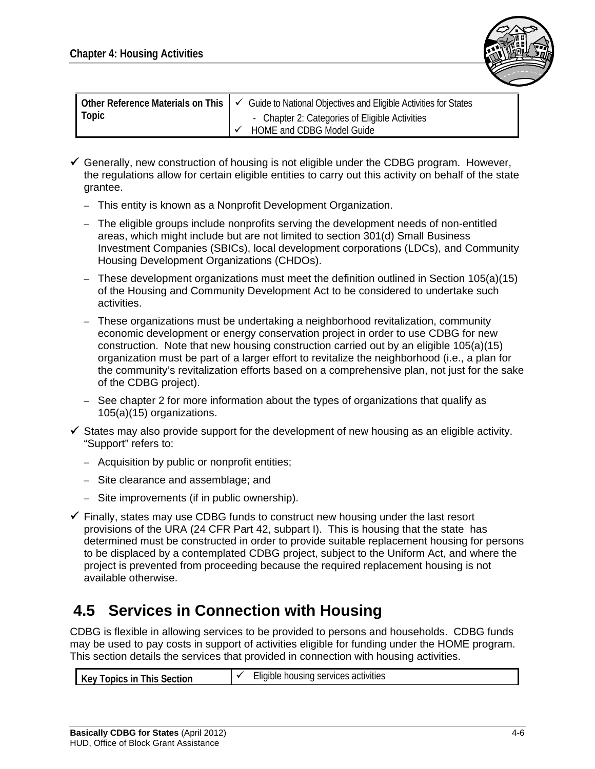

| <b>Ⅰ Other Reference Materials on This</b> $\vdash$ $\checkmark$ | Guide to National Objectives and Eligible Activities for States |
|------------------------------------------------------------------|-----------------------------------------------------------------|
| Topic                                                            | - Chapter 2: Categories of Eligible Activities                  |
|                                                                  | HOME and CDBG Model Guide                                       |

- $\checkmark$  Generally, new construction of housing is not eligible under the CDBG program. However, the regulations allow for certain eligible entities to carry out this activity on behalf of the state grantee.
	- This entity is known as a Nonprofit Development Organization.
	- The eligible groups include nonprofits serving the development needs of non-entitled areas, which might include but are not limited to section 301(d) Small Business Investment Companies (SBICs), local development corporations (LDCs), and Community Housing Development Organizations (CHDOs).
	- These development organizations must meet the definition outlined in Section 105(a)(15) of the Housing and Community Development Act to be considered to undertake such activities.
	- These organizations must be undertaking a neighborhood revitalization, community economic development or energy conservation project in order to use CDBG for new construction. Note that new housing construction carried out by an eligible 105(a)(15) organization must be part of a larger effort to revitalize the neighborhood (i.e., a plan for the community's revitalization efforts based on a comprehensive plan, not just for the sake of the CDBG project).
	- See chapter 2 for more information about the types of organizations that qualify as 105(a)(15) organizations.
- $\checkmark$  States may also provide support for the development of new housing as an eligible activity. "Support" refers to:
	- Acquisition by public or nonprofit entities;
	- Site clearance and assemblage; and
	- Site improvements (if in public ownership).
- $\checkmark$  Finally, states may use CDBG funds to construct new housing under the last resort provisions of the URA (24 CFR Part 42, subpart I). This is housing that the state has determined must be constructed in order to provide suitable replacement housing for persons to be displaced by a contemplated CDBG project, subject to the Uniform Act, and where the project is prevented from proceeding because the required replacement housing is not available otherwise.

### **4.5 Services in Connection with Housing**

CDBG is flexible in allowing services to be provided to persons and households. CDBG funds may be used to pay costs in support of activities eligible for funding under the HOME program. This section details the services that provided in connection with housing activities.

| opics in<br>Section<br>his<br>΄ Αν<br>. | services<br>housing<br>activities<br>-liaible. |
|-----------------------------------------|------------------------------------------------|
|-----------------------------------------|------------------------------------------------|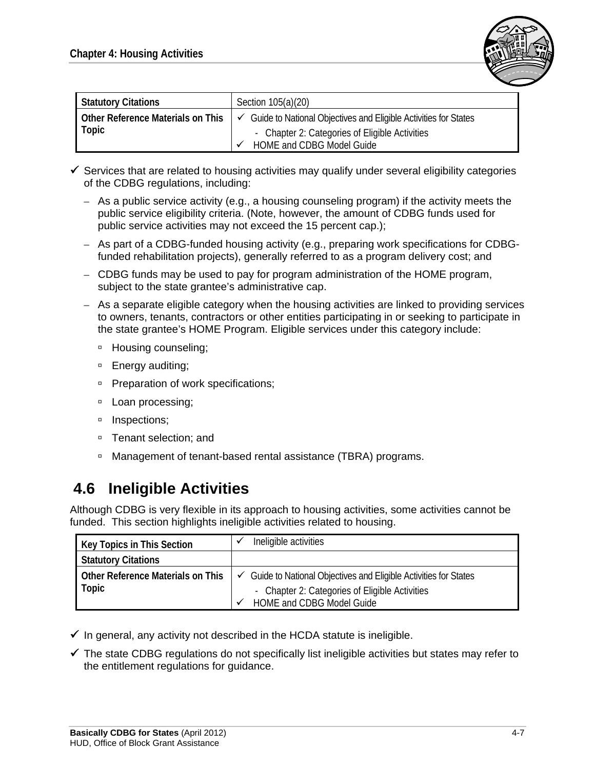

| <b>Statutory Citations</b>        | Section 105(a)(20)                                                              |
|-----------------------------------|---------------------------------------------------------------------------------|
| Other Reference Materials on This | Guide to National Objectives and Eligible Activities for States<br>$\checkmark$ |
| Topic                             | - Chapter 2: Categories of Eligible Activities                                  |
|                                   | HOME and CDBG Model Guide                                                       |

- $\checkmark$  Services that are related to housing activities may qualify under several eligibility categories of the CDBG regulations, including:
	- As a public service activity (e.g., a housing counseling program) if the activity meets the public service eligibility criteria. (Note, however, the amount of CDBG funds used for public service activities may not exceed the 15 percent cap.);
	- As part of a CDBG-funded housing activity (e.g., preparing work specifications for CDBGfunded rehabilitation projects), generally referred to as a program delivery cost; and
	- CDBG funds may be used to pay for program administration of the HOME program, subject to the state grantee's administrative cap.
	- As a separate eligible category when the housing activities are linked to providing services to owners, tenants, contractors or other entities participating in or seeking to participate in the state grantee's HOME Program. Eligible services under this category include:
		- □ Housing counseling;
		- □ Energy auditing;
		- □ Preparation of work specifications;
		- **Loan processing;**
		- <sup>D</sup> Inspections;
		- □ Tenant selection; and
		- □ Management of tenant-based rental assistance (TBRA) programs.

### **4.6 Ineligible Activities**

Although CDBG is very flexible in its approach to housing activities, some activities cannot be funded. This section highlights ineligible activities related to housing.

| <b>Key Topics in This Section</b> | Ineligible activities                                                        |  |  |
|-----------------------------------|------------------------------------------------------------------------------|--|--|
| <b>Statutory Citations</b>        |                                                                              |  |  |
| Other Reference Materials on This | $\checkmark$ Guide to National Objectives and Eligible Activities for States |  |  |
| Topic                             | - Chapter 2: Categories of Eligible Activities                               |  |  |
|                                   | HOME and CDBG Model Guide                                                    |  |  |

- $\checkmark$  In general, any activity not described in the HCDA statute is ineligible.
- $\checkmark$  The state CDBG regulations do not specifically list ineligible activities but states may refer to the entitlement regulations for guidance.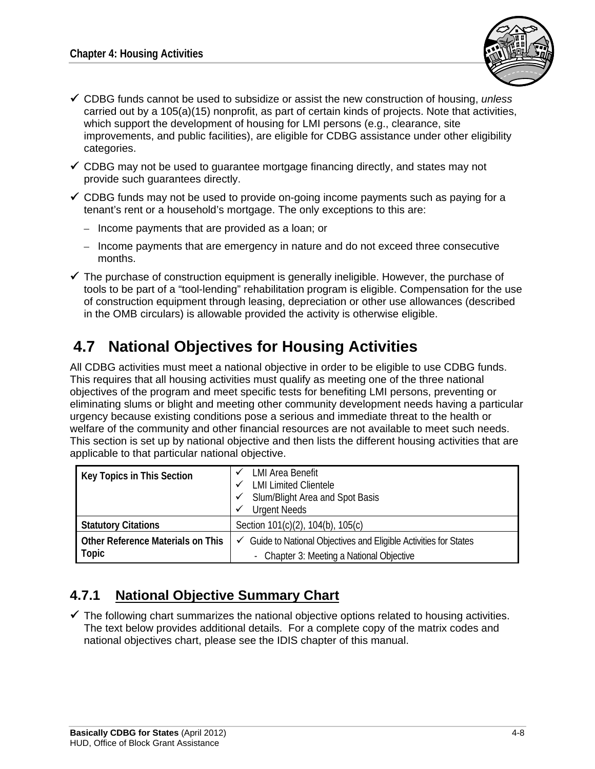

- CDBG funds cannot be used to subsidize or assist the new construction of housing, *unless* carried out by a 105(a)(15) nonprofit, as part of certain kinds of projects. Note that activities, which support the development of housing for LMI persons (e.g., clearance, site improvements, and public facilities), are eligible for CDBG assistance under other eligibility categories.
- $\checkmark$  CDBG may not be used to quarantee mortgage financing directly, and states may not provide such guarantees directly.
- $\checkmark$  CDBG funds may not be used to provide on-going income payments such as paying for a tenant's rent or a household's mortgage. The only exceptions to this are:
	- Income payments that are provided as a loan; or
	- Income payments that are emergency in nature and do not exceed three consecutive months.
- $\checkmark$  The purchase of construction equipment is generally ineligible. However, the purchase of tools to be part of a "tool-lending" rehabilitation program is eligible. Compensation for the use of construction equipment through leasing, depreciation or other use allowances (described in the OMB circulars) is allowable provided the activity is otherwise eligible.

### **4.7 National Objectives for Housing Activities**

All CDBG activities must meet a national objective in order to be eligible to use CDBG funds. This requires that all housing activities must qualify as meeting one of the three national objectives of the program and meet specific tests for benefiting LMI persons, preventing or eliminating slums or blight and meeting other community development needs having a particular urgency because existing conditions pose a serious and immediate threat to the health or welfare of the community and other financial resources are not available to meet such needs. This section is set up by national objective and then lists the different housing activities that are applicable to that particular national objective.

| Key Topics in This Section        | LMI Area Benefit<br><b>LMI Limited Clientele</b><br>Slum/Blight Area and Spot Basis<br><b>Urgent Needs</b><br>v |  |  |  |
|-----------------------------------|-----------------------------------------------------------------------------------------------------------------|--|--|--|
| <b>Statutory Citations</b>        | Section 101(c)(2), 104(b), 105(c)                                                                               |  |  |  |
| Other Reference Materials on This | $\checkmark$ Guide to National Objectives and Eligible Activities for States                                    |  |  |  |
| Topic                             | - Chapter 3: Meeting a National Objective                                                                       |  |  |  |

#### **4.7.1 National Objective Summary Chart**

 $\checkmark$  The following chart summarizes the national objective options related to housing activities. The text below provides additional details. For a complete copy of the matrix codes and national objectives chart, please see the IDIS chapter of this manual.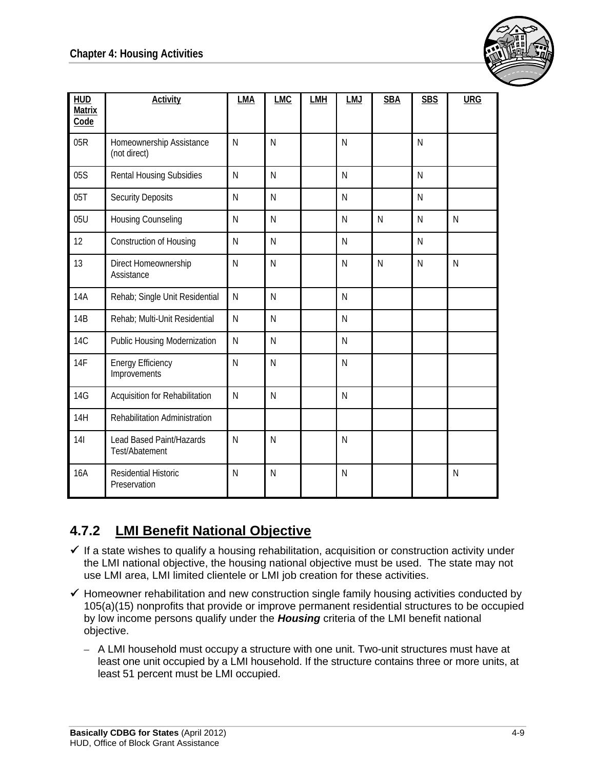

| <b>HUD</b><br><b>Matrix</b><br>Code | <b>Activity</b>                             | LMA | <b>LMC</b>              | <b>LMH</b> | LMJ          | <b>SBA</b> | <b>SBS</b> | <b>URG</b> |
|-------------------------------------|---------------------------------------------|-----|-------------------------|------------|--------------|------------|------------|------------|
| 05R                                 | Homeownership Assistance<br>(not direct)    | N   | N                       |            | N            |            | N          |            |
| 05S                                 | <b>Rental Housing Subsidies</b>             | N   | N                       |            | N            |            | N          |            |
| 05T                                 | <b>Security Deposits</b>                    | N   | N                       |            | N            |            | N          |            |
| 05U                                 | Housing Counseling                          | N   | N                       |            | N            | N          | N          | N          |
| 12                                  | Construction of Housing                     | N   | N                       |            | N            |            | N          |            |
| 13                                  | Direct Homeownership<br>Assistance          | N   | N                       |            | $\mathsf{N}$ | N          | N          | N          |
| 14A                                 | Rehab; Single Unit Residential              | N   | N                       |            | $\mathsf{N}$ |            |            |            |
| 14B                                 | Rehab; Multi-Unit Residential               | N   | N                       |            | $\mathsf{N}$ |            |            |            |
| <b>14C</b>                          | Public Housing Modernization                | N   | N                       |            | $\mathsf{N}$ |            |            |            |
| 14F                                 | <b>Energy Efficiency</b><br>Improvements    | N   | N                       |            | N            |            |            |            |
| <b>14G</b>                          | Acquisition for Rehabilitation              | N   | N                       |            | N            |            |            |            |
| 14H                                 | Rehabilitation Administration               |     |                         |            |              |            |            |            |
| 14I                                 | Lead Based Paint/Hazards<br>Test/Abatement  | N   | $\mathsf{N}$            |            | $\mathsf{N}$ |            |            |            |
| <b>16A</b>                          | <b>Residential Historic</b><br>Preservation | N   | $\overline{\mathsf{N}}$ |            | $\mathsf{N}$ |            |            | N          |

### **4.7.2 LMI Benefit National Objective**

- $\checkmark$  If a state wishes to qualify a housing rehabilitation, acquisition or construction activity under the LMI national objective, the housing national objective must be used. The state may not use LMI area, LMI limited clientele or LMI job creation for these activities.
- $\checkmark$  Homeowner rehabilitation and new construction single family housing activities conducted by 105(a)(15) nonprofits that provide or improve permanent residential structures to be occupied by low income persons qualify under the *Housing* criteria of the LMI benefit national objective.
	- A LMI household must occupy a structure with one unit. Two-unit structures must have at least one unit occupied by a LMI household. If the structure contains three or more units, at least 51 percent must be LMI occupied.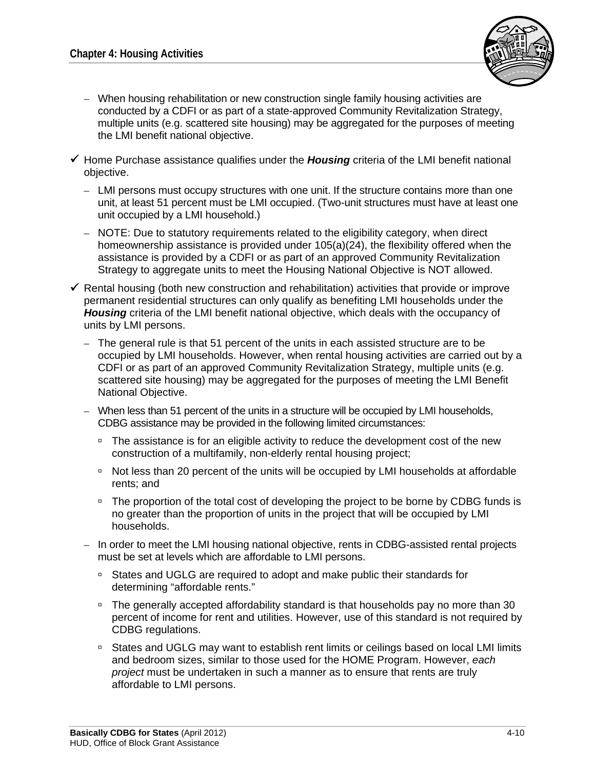

- When housing rehabilitation or new construction single family housing activities are conducted by a CDFI or as part of a state-approved Community Revitalization Strategy, multiple units (e.g. scattered site housing) may be aggregated for the purposes of meeting the LMI benefit national objective.
- Home Purchase assistance qualifies under the *Housing* criteria of the LMI benefit national objective.
	- LMI persons must occupy structures with one unit. If the structure contains more than one unit, at least 51 percent must be LMI occupied. (Two-unit structures must have at least one unit occupied by a LMI household.)
	- NOTE: Due to statutory requirements related to the eligibility category, when direct homeownership assistance is provided under 105(a)(24), the flexibility offered when the assistance is provided by a CDFI or as part of an approved Community Revitalization Strategy to aggregate units to meet the Housing National Objective is NOT allowed.
- $\checkmark$  Rental housing (both new construction and rehabilitation) activities that provide or improve permanent residential structures can only qualify as benefiting LMI households under the *Housing* criteria of the LMI benefit national objective, which deals with the occupancy of units by LMI persons.
	- The general rule is that 51 percent of the units in each assisted structure are to be occupied by LMI households. However, when rental housing activities are carried out by a CDFI or as part of an approved Community Revitalization Strategy, multiple units (e.g. scattered site housing) may be aggregated for the purposes of meeting the LMI Benefit National Objective.
	- When less than 51 percent of the units in a structure will be occupied by LMI households, CDBG assistance may be provided in the following limited circumstances:
		- <sup>n</sup> The assistance is for an eligible activity to reduce the development cost of the new construction of a multifamily, non-elderly rental housing project;
		- Not less than 20 percent of the units will be occupied by LMI households at affordable rents; and
		- □ The proportion of the total cost of developing the project to be borne by CDBG funds is no greater than the proportion of units in the project that will be occupied by LMI households.
	- In order to meet the LMI housing national objective, rents in CDBG-assisted rental projects must be set at levels which are affordable to LMI persons.
		- States and UGLG are required to adopt and make public their standards for determining "affordable rents."
		- The generally accepted affordability standard is that households pay no more than 30 percent of income for rent and utilities. However, use of this standard is not required by CDBG regulations.
		- States and UGLG may want to establish rent limits or ceilings based on local LMI limits and bedroom sizes, similar to those used for the HOME Program. However, *each project* must be undertaken in such a manner as to ensure that rents are truly affordable to LMI persons.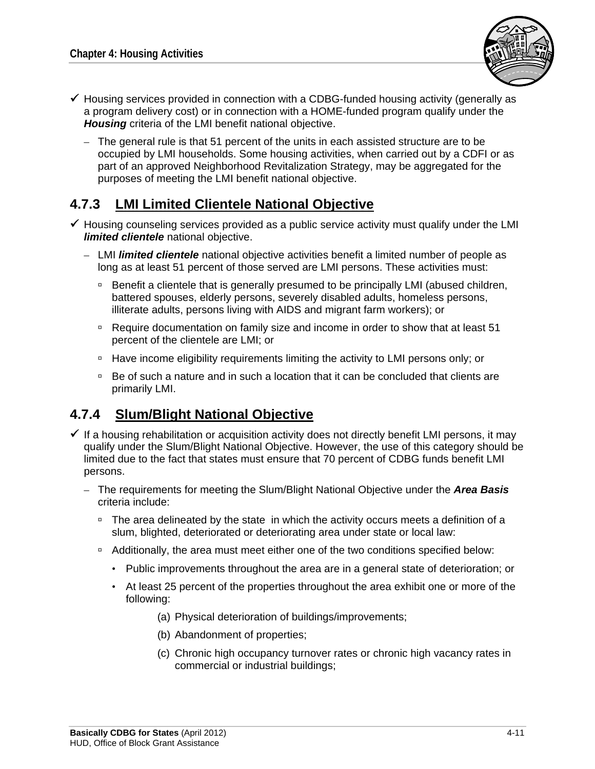

- $\checkmark$  Housing services provided in connection with a CDBG-funded housing activity (generally as a program delivery cost) or in connection with a HOME-funded program qualify under the *Housing* criteria of the LMI benefit national objective.
	- The general rule is that 51 percent of the units in each assisted structure are to be occupied by LMI households. Some housing activities, when carried out by a CDFI or as part of an approved Neighborhood Revitalization Strategy, may be aggregated for the purposes of meeting the LMI benefit national objective.

#### **4.7.3 LMI Limited Clientele National Objective**

- $\checkmark$  Housing counseling services provided as a public service activity must qualify under the LMI *limited clientele* national objective.
	- LMI *limited clientele* national objective activities benefit a limited number of people as long as at least 51 percent of those served are LMI persons. These activities must:
		- □ Benefit a clientele that is generally presumed to be principally LMI (abused children, battered spouses, elderly persons, severely disabled adults, homeless persons, illiterate adults, persons living with AIDS and migrant farm workers); or
		- Require documentation on family size and income in order to show that at least 51 percent of the clientele are LMI; or
		- □ Have income eligibility requirements limiting the activity to LMI persons only; or
		- $\overline{P}$  Be of such a nature and in such a location that it can be concluded that clients are primarily LMI.

#### **4.7.4 Slum/Blight National Objective**

- $\checkmark$  If a housing rehabilitation or acquisition activity does not directly benefit LMI persons, it may qualify under the Slum/Blight National Objective. However, the use of this category should be limited due to the fact that states must ensure that 70 percent of CDBG funds benefit LMI persons.
	- The requirements for meeting the Slum/Blight National Objective under the *Area Basis* criteria include:
		- <sup>n</sup> The area delineated by the state in which the activity occurs meets a definition of a slum, blighted, deteriorated or deteriorating area under state or local law:
		- Additionally, the area must meet either one of the two conditions specified below:
			- Public improvements throughout the area are in a general state of deterioration; or
			- At least 25 percent of the properties throughout the area exhibit one or more of the following:
				- (a) Physical deterioration of buildings/improvements;
				- (b) Abandonment of properties;
				- (c) Chronic high occupancy turnover rates or chronic high vacancy rates in commercial or industrial buildings;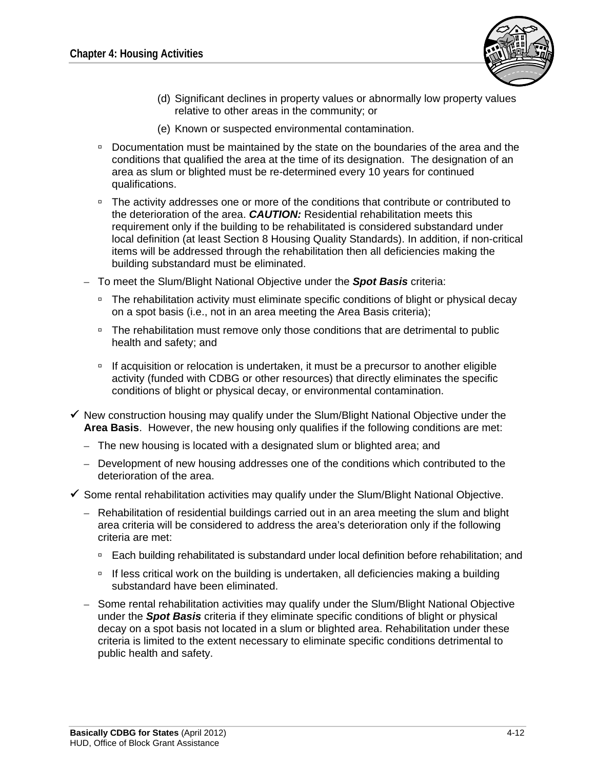

- (d) Significant declines in property values or abnormally low property values relative to other areas in the community; or
- (e) Known or suspected environmental contamination.
- Documentation must be maintained by the state on the boundaries of the area and the conditions that qualified the area at the time of its designation. The designation of an area as slum or blighted must be re-determined every 10 years for continued qualifications.
- □ The activity addresses one or more of the conditions that contribute or contributed to the deterioration of the area. *CAUTION:* Residential rehabilitation meets this requirement only if the building to be rehabilitated is considered substandard under local definition (at least Section 8 Housing Quality Standards). In addition, if non-critical items will be addressed through the rehabilitation then all deficiencies making the building substandard must be eliminated.
- To meet the Slum/Blight National Objective under the *Spot Basis* criteria:
	- The rehabilitation activity must eliminate specific conditions of blight or physical decay on a spot basis (i.e., not in an area meeting the Area Basis criteria);
	- □ The rehabilitation must remove only those conditions that are detrimental to public health and safety; and
	- □ If acquisition or relocation is undertaken, it must be a precursor to another eligible activity (funded with CDBG or other resources) that directly eliminates the specific conditions of blight or physical decay, or environmental contamination.
- $\checkmark$  New construction housing may qualify under the Slum/Blight National Objective under the **Area Basis**. However, the new housing only qualifies if the following conditions are met:
	- The new housing is located with a designated slum or blighted area; and
	- Development of new housing addresses one of the conditions which contributed to the deterioration of the area.
- $\checkmark$  Some rental rehabilitation activities may qualify under the Slum/Blight National Objective.
	- Rehabilitation of residential buildings carried out in an area meeting the slum and blight area criteria will be considered to address the area's deterioration only if the following criteria are met:
		- **Each building rehabilitated is substandard under local definition before rehabilitation; and**
		- If less critical work on the building is undertaken, all deficiencies making a building substandard have been eliminated.
	- Some rental rehabilitation activities may qualify under the Slum/Blight National Objective under the *Spot Basis* criteria if they eliminate specific conditions of blight or physical decay on a spot basis not located in a slum or blighted area. Rehabilitation under these criteria is limited to the extent necessary to eliminate specific conditions detrimental to public health and safety.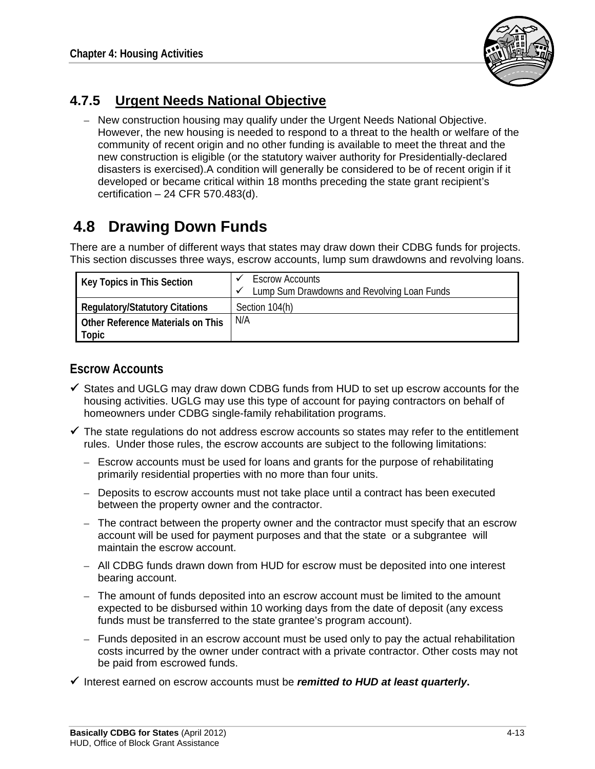

#### **4.7.5 Urgent Needs National Objective**

– New construction housing may qualify under the Urgent Needs National Objective. However, the new housing is needed to respond to a threat to the health or welfare of the community of recent origin and no other funding is available to meet the threat and the new construction is eligible (or the statutory waiver authority for Presidentially-declared disasters is exercised).A condition will generally be considered to be of recent origin if it developed or became critical within 18 months preceding the state grant recipient's certification – 24 CFR 570.483(d).

# **4.8 Drawing Down Funds**

There are a number of different ways that states may draw down their CDBG funds for projects. This section discusses three ways, escrow accounts, lump sum drawdowns and revolving loans.

| Key Topics in This Section                 | <b>Escrow Accounts</b><br>Lump Sum Drawdowns and Revolving Loan Funds |
|--------------------------------------------|-----------------------------------------------------------------------|
| <b>Regulatory/Statutory Citations</b>      | Section 104(h)                                                        |
| Other Reference Materials on This<br>Topic | N/A                                                                   |

#### **Escrow Accounts**

- $\checkmark$  States and UGLG may draw down CDBG funds from HUD to set up escrow accounts for the housing activities. UGLG may use this type of account for paying contractors on behalf of homeowners under CDBG single-family rehabilitation programs.
- $\checkmark$  The state regulations do not address escrow accounts so states may refer to the entitlement rules. Under those rules, the escrow accounts are subject to the following limitations:
	- Escrow accounts must be used for loans and grants for the purpose of rehabilitating primarily residential properties with no more than four units.
	- Deposits to escrow accounts must not take place until a contract has been executed between the property owner and the contractor.
	- The contract between the property owner and the contractor must specify that an escrow account will be used for payment purposes and that the state or a subgrantee will maintain the escrow account.
	- All CDBG funds drawn down from HUD for escrow must be deposited into one interest bearing account.
	- The amount of funds deposited into an escrow account must be limited to the amount expected to be disbursed within 10 working days from the date of deposit (any excess funds must be transferred to the state grantee's program account).
	- Funds deposited in an escrow account must be used only to pay the actual rehabilitation costs incurred by the owner under contract with a private contractor. Other costs may not be paid from escrowed funds.
- Interest earned on escrow accounts must be *remitted to HUD at least quarterly***.**